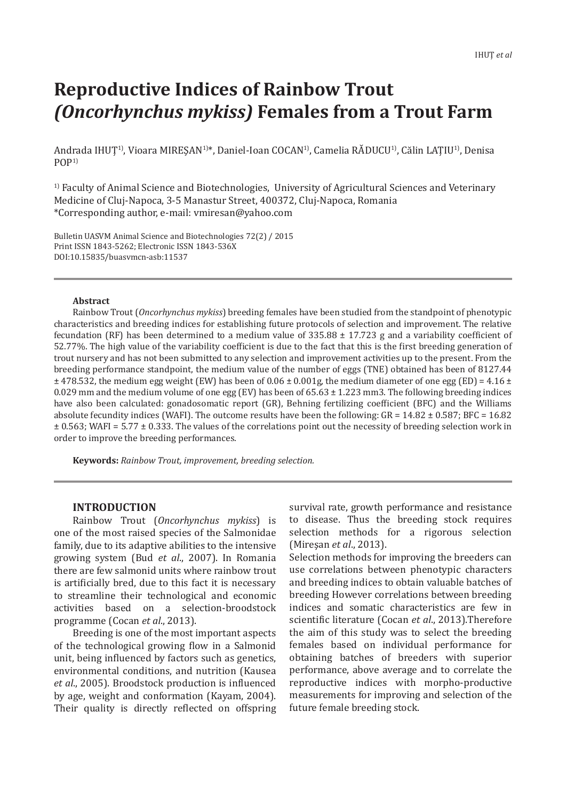# **Reproductive Indices of Rainbow Trout**  *(Oncorhynchus mykiss)* **Females from a Trout Farm**

Andrada IHUȚ<sup>1)</sup>, Vioara MIREȘAN<sup>1)\*</sup>, Daniel-Ioan COCAN<sup>1</sup>), Camelia RĂDUCU<sup>1</sup>), Călin LAȚIU<sup>1</sup>), Denisa  $POP<sup>1</sup>$ 

<sup>1)</sup> Faculty of Animal Science and Biotechnologies, University of Agricultural Sciences and Veterinary Medicine of Cluj-Napoca, 3-5 Manastur Street, 400372, Cluj-Napoca, Romania \*Corresponding author, e-mail: vmiresan@yahoo.com

Bulletin UASVM Animal Science and Biotechnologies 72(2) / 2015 Print ISSN 1843-5262; Electronic ISSN 1843-536X DOI:10.15835/buasvmcn-asb:11537

#### **Abstract**

Rainbow Trout (*Oncorhynchus mykiss*) breeding females have been studied from the standpoint of phenotypic characteristics and breeding indices for establishing future protocols of selection and improvement. The relative fecundation (RF) has been determined to a medium value of  $335.88 \pm 17.723$  g and a variability coefficient of 52.77%. The high value of the variability coefficient is due to the fact that this is the first breeding generation of trout nursery and has not been submitted to any selection and improvement activities up to the present. From the breeding performance standpoint, the medium value of the number of eggs (TNE) obtained has been of 8127.44  $\pm$  478.532, the medium egg weight (EW) has been of 0.06  $\pm$  0.001g, the medium diameter of one egg (ED) = 4.16  $\pm$ 0.029 mm and the medium volume of one egg (EV) has been of  $65.63 \pm 1.223$  mm3. The following breeding indices have also been calculated: gonadosomatic report (GR), Behning fertilizing coefficient (BFC) and the Williams absolute fecundity indices (WAFI). The outcome results have been the following:  $GR = 14.82 \pm 0.587$ ; BFC = 16.82 ± 0.563; WAFI = 5.77 ± 0.333. The values of the correlations point out the necessity of breeding selection work in order to improve the breeding performances.

**Keywords:** *Rainbow Trout, improvement, breeding selection.*

### **INTRODUCTION**

Rainbow Trout (*Oncorhynchus mykiss*) is one of the most raised species of the Salmonidae family, due to its adaptive abilities to the intensive growing system (Bud *et al*., 2007). In Romania there are few salmonid units where rainbow trout is artificially bred, due to this fact it is necessary to streamline their technological and economic activities based on a selection-broodstock programme (Cocan *et al*., 2013).

Breeding is one of the most important aspects of the technological growing flow in a Salmonid unit, being influenced by factors such as genetics, environmental conditions, and nutrition (Kausea *et al*., 2005). Broodstock production is influenced by age, weight and conformation (Kayam, 2004). Their quality is directly reflected on offspring survival rate, growth performance and resistance to disease. Thus the breeding stock requires selection methods for a rigorous selection (Mireşan *et al*., 2013).

Selection methods for improving the breeders can use correlations between phenotypic characters and breeding indices to obtain valuable batches of breeding However correlations between breeding indices and somatic characteristics are few in scientific literature (Cocan *et al*., 2013).Therefore the aim of this study was to select the breeding females based on individual performance for obtaining batches of breeders with superior performance, above average and to correlate the reproductive indices with morpho-productive measurements for improving and selection of the future female breeding stock.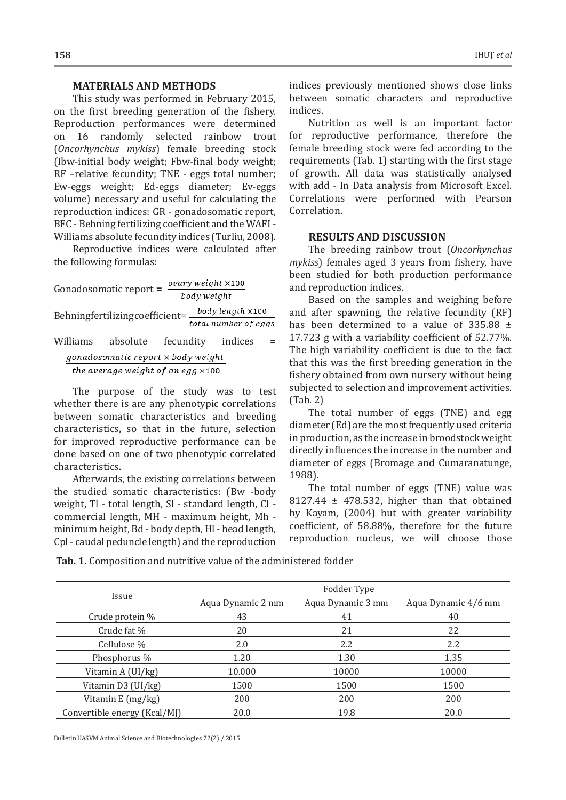#### **MATERIALS AND METHODS**

This study was performed in February 2015, on the first breeding generation of the fishery. Reproduction performances were determined<br>on 16 randomly selected rainbow trout on 16 randomly selected rainbow (*Oncorhynchus mykiss*) female breeding stock (Ibw-initial body weight; Fbw-final body weight; RF –relative fecundity; TNE - eggs total number; Ew-eggs weight; Ed-eggs diameter; Ev-eggs volume) necessary and useful for calculating the reproduction indices: GR - gonadosomatic report, BFC - Behning fertilizing coefficient and the WAFI - Williams absolute fecundity indices (Turliu, 2008).

Reproductive indices were calculated after the following formulas:

Gonadosomatic report =  $\frac{ovary weight \times 100}{200}$ body weight body length ×100 Behning fertilizing coefficient =  $\frac{b\ddot{a}y\ddot{b}y}{total\ number\ of\ eqgs}$ Williams absolute fecundity indices = gonadosomatic report x body weight the average weight of an egg  $\times$ 100

The purpose of the study was to test whether there is are any phenotypic correlations between somatic characteristics and breeding characteristics, so that in the future, selection for improved reproductive performance can be done based on one of two phenotypic correlated characteristics.

Afterwards, the existing correlations between the studied somatic characteristics: (Bw -body weight, Tl - total length, Sl - standard length, Cl commercial length, MH - maximum height, Mh minimum height, Bd - body depth, Hl - head length, Cpl - caudal peduncle length) and the reproduction

indices previously mentioned shows close links between somatic characters and reproductive indices.

Nutrition as well is an important factor for reproductive performance, therefore the female breeding stock were fed according to the requirements (Tab. 1) starting with the first stage of growth. All data was statistically analysed with add - In Data analysis from Microsoft Excel. Correlations were performed with Pearson Correlation.

#### **RESULTS AND DISCUSSION**

The breeding rainbow trout (*Oncorhynchus mykiss*) females aged 3 years from fishery, have been studied for both production performance and reproduction indices.

Based on the samples and weighing before and after spawning, the relative fecundity (RF) has been determined to a value of  $335.88 \pm$ 17.723 g with a variability coefficient of 52.77%. The high variability coefficient is due to the fact that this was the first breeding generation in the fishery obtained from own nursery without being subjected to selection and improvement activities. (Tab. 2)

The total number of eggs (TNE) and egg diameter (Ed) are the most frequently used criteria in production, as the increase in broodstock weight directly influences the increase in the number and diameter of eggs (Bromage and Cumaranatunge, 1988).

The total number of eggs (TNE) value was 8127.44 ± 478.532, higher than that obtained by Kayam, (2004) but with greater variability coefficient, of 58.88%, therefore for the future reproduction nucleus, we will choose those

**Tab. 1.** Composition and nutritive value of the administered fodder

|                              | Fodder Type       |                         |       |  |  |  |  |  |
|------------------------------|-------------------|-------------------------|-------|--|--|--|--|--|
| Issue                        | Aqua Dynamic 2 mm | Aqua Dynamic 4/6 mm     |       |  |  |  |  |  |
| Crude protein %              | 43                | Aqua Dynamic 3 mm<br>41 | 40    |  |  |  |  |  |
| Crude fat %                  | 20                | 21                      | 22    |  |  |  |  |  |
| Cellulose %                  | 2.0               | 2.2                     | 2.2   |  |  |  |  |  |
| Phosphorus %                 | 1.20              | 1.30                    | 1.35  |  |  |  |  |  |
| Vitamin A (UI/kg)            | 10.000            | 10000                   | 10000 |  |  |  |  |  |
| Vitamin D3 (UI/kg)           | 1500              | 1500                    | 1500  |  |  |  |  |  |
| Vitamin E (mg/kg)            | 200               | 200                     | 200   |  |  |  |  |  |
| Convertible energy (Kcal/MJ) | 20.0              | 19.8                    | 20.0  |  |  |  |  |  |

Bulletin UASVM Animal Science and Biotechnologies 72(2) / 2015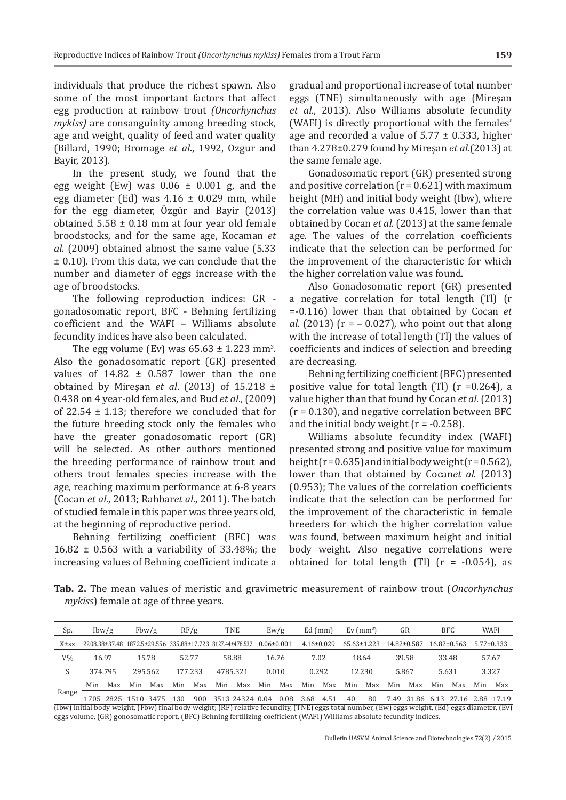individuals that produce the richest spawn. Also some of the most important factors that affect egg production at rainbow trout *(Oncorhynchus mykiss)* are consanguinity among breeding stock, age and weight, quality of feed and water quality (Billard, 1990; Bromage *et al*., 1992, Ozgur and Bayir, 2013).

In the present study, we found that the egg weight (Ew) was  $0.06 \pm 0.001$  g, and the egg diameter (Ed) was  $4.16 \pm 0.029$  mm, while for the egg diameter, Özgür and Bayir (2013) obtained  $5.58 \pm 0.18$  mm at four year old female broodstocks, and for the same age, Kocaman *et al*. (2009) obtained almost the same value (5.33 ± 0.10). From this data, we can conclude that the number and diameter of eggs increase with the age of broodstocks.

The following reproduction indices: GR gonadosomatic report, BFC - Behning fertilizing coefficient and the WAFI – Williams absolute fecundity indices have also been calculated.

The egg volume (Ev) was  $65.63 \pm 1.223$  mm<sup>3</sup>. Also the gonadosomatic report (GR) presented values of  $14.82 \pm 0.587$  lower than the one obtained by Mireşan *et al*. (2013) of 15.218 ± 0.438 on 4 year-old females, and Bud *et al*., (2009) of 22.54  $\pm$  1.13; therefore we concluded that for the future breeding stock only the females who have the greater gonadosomatic report (GR) will be selected. As other authors mentioned the breeding performance of rainbow trout and others trout females species increase with the age, reaching maximum performance at 6-8 years (Cocan *et al*., 2013; Rahbar*et al*., 2011). The batch of studied female in this paper was three years old, at the beginning of reproductive period.

Behning fertilizing coefficient (BFC) was  $16.82 \pm 0.563$  with a variability of 33.48%; the increasing values of Behning coefficient indicate a gradual and proportional increase of total number eggs (TNE) simultaneously with age (Mireşan *et al*., 2013). Also Williams absolute fecundity (WAFI) is directly proportional with the females' age and recorded a value of  $5.77 \pm 0.333$ , higher than 4.278±0.279 found by Mireşan *et al*.(2013) at the same female age.

Gonadosomatic report (GR) presented strong and positive correlation  $(r = 0.621)$  with maximum height (MH) and initial body weight (Ibw), where the correlation value was 0.415, lower than that obtained by Cocan *et al*. (2013) at the same female age. The values of the correlation coefficients indicate that the selection can be performed for the improvement of the characteristic for which the higher correlation value was found.

Also Gonadosomatic report (GR) presented a negative correlation for total length (Tl) (r =-0.116) lower than that obtained by Cocan *et al*. (2013) (r = – 0.027), who point out that along with the increase of total length (Tl) the values of coefficients and indices of selection and breeding are decreasing.

Behning fertilizing coefficient (BFC) presented positive value for total length  $(Tl)$   $(r = 0.264)$ , a value higher than that found by Cocan *et al*. (2013)  $(r = 0.130)$ , and negative correlation between BFC and the initial body weight  $(r = -0.258)$ .

Williams absolute fecundity index (WAFI) presented strong and positive value for maximum height  $(r = 0.635)$  and initial body weight  $(r = 0.562)$ , lower than that obtained by Cocan*et al*. (2013) (0.953); The values of the correlation coefficients indicate that the selection can be performed for the improvement of the characteristic in female breeders for which the higher correlation value was found, between maximum height and initial body weight. Also negative correlations were obtained for total length  $(Tl)$   $(r = -0.054)$ , as

**Tab. 2.** The mean values of meristic and gravimetric measurement of rainbow trout (*Oncorhynchus mykiss*) female at age of three years.

| Sp.         |       | lbw/g   |         | Fbw/g |       | RF/g    |     | <b>TNE</b>                                                                                |     | $E_{W}/g$ |     | $Ed$ (mm)        | Ev $\rm(mm^3)$ |                                     |     | GR    |       | <b>BFC</b>  | WAFI  |                  |
|-------------|-------|---------|---------|-------|-------|---------|-----|-------------------------------------------------------------------------------------------|-----|-----------|-----|------------------|----------------|-------------------------------------|-----|-------|-------|-------------|-------|------------------|
| $X \pm s x$ |       |         |         |       |       |         |     | 2208.38±37.48 1872.5±29.556 335.88±17.723 8127.44±478.532 0.06±0.001                      |     |           |     | $4.16 \pm 0.029$ |                | $65.63 \pm 1.223$ $14.82 \pm 0.587$ |     |       |       | 16.82±0.563 |       | $5.77 \pm 0.333$ |
| $V\%$       | 16.97 |         |         | 15.78 | 52.77 |         |     | 58.88                                                                                     |     | 16.76     |     | 7.02             |                | 18.64                               |     | 39.58 | 33.48 |             | 57.67 |                  |
|             |       | 374.795 | 295.562 |       |       | 177.233 |     | 4785.321                                                                                  |     | 0.010     |     | 0.292            |                | 12.230                              |     | 5.867 | 5.631 |             | 3.327 |                  |
|             | Min   | Max     | Min     | Max   | Min   | Max     | Min | Max                                                                                       | Min | Max       | Min | Max              | Min            | Max                                 | Min | Max   | Min   | Max         | Min   | Max              |
| Range       |       |         |         |       |       |         |     | AFOE OODE AFAA DAFE ADA OOA DEADDAADAA OOA OOA DIGO AFA AA OOA FAAD DAACICAD DEACDOO AFAA |     |           |     |                  |                |                                     |     |       |       |             |       |                  |

1705 2825 1510 3475 130 900 3513 24324 0.04 0.08 3.68 4.51 40 80 7.49 31.86 6.13 27.16 2.88 17.19 (Ibw) initial body weight, (Fbw) final body weight; (RF) relative fecundity, (TNE) eggs total number, (Ew) eggs weight, (Ed) eggs diameter, (Ev) eggs volume, (GR) gonosomatic report, (BFC) Behning fertilizing coefficient (WAFI) Williams absolute fecundity indices.

**159**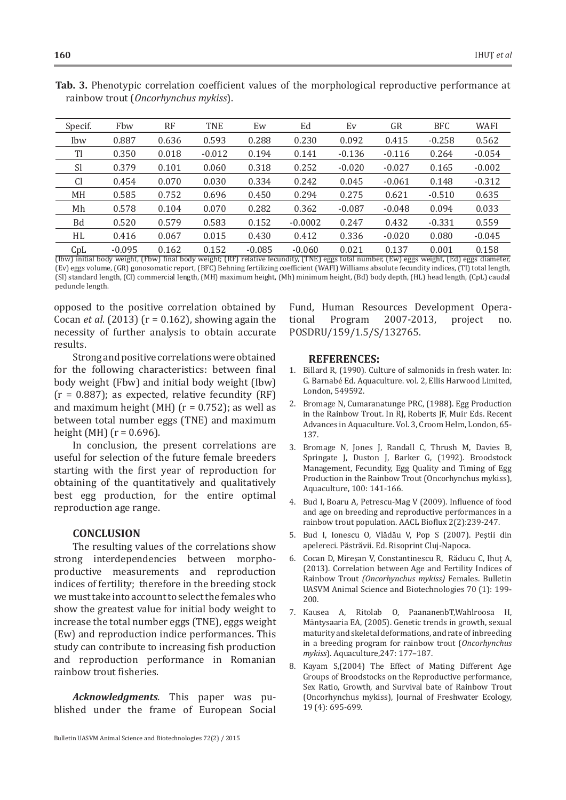| Specif.       | Fbw      | <b>RF</b> | <b>TNE</b> | Ew       | Ed        | Ev       | GR       | <b>BFC</b> | <b>WAFI</b> |
|---------------|----------|-----------|------------|----------|-----------|----------|----------|------------|-------------|
| Ibw           | 0.887    | 0.636     | 0.593      | 0.288    | 0.230     | 0.092    | 0.415    | $-0.258$   | 0.562       |
| Tl            | 0.350    | 0.018     | $-0.012$   | 0.194    | 0.141     | $-0.136$ | $-0.116$ | 0.264      | $-0.054$    |
| <sub>Sl</sub> | 0.379    | 0.101     | 0.060      | 0.318    | 0.252     | $-0.020$ | $-0.027$ | 0.165      | $-0.002$    |
| <sub>C1</sub> | 0.454    | 0.070     | 0.030      | 0.334    | 0.242     | 0.045    | $-0.061$ | 0.148      | $-0.312$    |
| MH            | 0.585    | 0.752     | 0.696      | 0.450    | 0.294     | 0.275    | 0.621    | $-0.510$   | 0.635       |
| Mh            | 0.578    | 0.104     | 0.070      | 0.282    | 0.362     | $-0.087$ | $-0.048$ | 0.094      | 0.033       |
| Bd            | 0.520    | 0.579     | 0.583      | 0.152    | $-0.0002$ | 0.247    | 0.432    | $-0.331$   | 0.559       |
| HL.           | 0.416    | 0.067     | 0.015      | 0.430    | 0.412     | 0.336    | $-0.020$ | 0.080      | $-0.045$    |
| CpL           | $-0.095$ | 0.162     | 0.152      | $-0.085$ | $-0.060$  | 0.021    | 0.137    | 0.001      | 0.158       |

**Tab. 3.** Phenotypic correlation coefficient values of the morphological reproductive performance at rainbow trout (*Oncorhynchus mykiss*).

(Ibw) initial body weight, (Fbw) final body weight; (RF) relative fecundity, (TNE) eggs total number, (Ew) eggs weight, (Ed) eggs diameter, (Ev) eggs volume, (GR) gonosomatic report, (BFC) Behning fertilizing coefficient (WAFI) Williams absolute fecundity indices, (Tl) total length, (Sl) standard length, (Cl) commercial length, (MH) maximum height, (Mh) minimum height, (Bd) body depth, (HL) head length, (CpL) caudal peduncle length.

opposed to the positive correlation obtained by Cocan *et al*. (2013) (r = 0.162), showing again the necessity of further analysis to obtain accurate results.

Strong and positive correlations were obtained for the following characteristics: between final body weight (Fbw) and initial body weight (Ibw)  $(r = 0.887)$ ; as expected, relative fecundity (RF) and maximum height (MH)  $(r = 0.752)$ ; as well as between total number eggs (TNE) and maximum height (MH) ( $r = 0.696$ ).

In conclusion, the present correlations are useful for selection of the future female breeders starting with the first year of reproduction for obtaining of the quantitatively and qualitatively best egg production, for the entire optimal reproduction age range.

## **CONCLUSION**

The resulting values of the correlations show strong interdependencies between morphoproductive measurements and reproduction indices of fertility; therefore in the breeding stock we must take into account to select the females who show the greatest value for initial body weight to increase the total number eggs (TNE), eggs weight (Ew) and reproduction indice performances. This study can contribute to increasing fish production and reproduction performance in Romanian rainbow trout fisheries.

*Acknowledgments.* This paper was published under the frame of European Social

Bulletin UASVM Animal Science and Biotechnologies 72(2) / 2015

Fund, Human Resources Development Operational Program 2007-2013, project no. tional Program 2007-2013, project no. POSDRU/159/1.5/S/132765.

## **REFERENCES:**

- 1. Billard R, (1990). Culture of salmonids in fresh water. In: G. Barnabé Ed. Aquaculture. vol. 2, Ellis Harwood Limited, London, 549592.
- 2. Bromage N, Cumaranatunge PRC, (1988). Egg Production in the Rainbow Trout. In RJ, Roberts JF, Muir Eds. Recent Advances in Aquaculture. Vol. 3, Croom Helm, London, 65- 137.
- 3. Bromage N, Jones J, Randall C, Thrush M, Davies B, Springate J, Duston J, Barker G, (1992). Broodstock Management, Fecundity, Egg Quality and Timing of Egg Production in the Rainbow Trout (Oncorhynchus mykiss), Aquaculture, 100: 141-166.
- 4. Bud I, Boaru A, Petrescu-Mag V (2009). Influence of food and age on breeding and reproductive performances in a rainbow trout population. AACL Bioflux 2(2):239-247.
- 5. Bud I, Ionescu O, Vlădău V, Pop S (2007). Peştii din apelereci. Păstrăvii. Ed. Risoprint Cluj-Napoca.
- 6. Cocan D, Mireşan V, Constantinescu R, Răducu C, Ihuţ A, (2013). Correlation between Age and Fertility Indices of Rainbow Trout *(Oncorhynchus mykiss)* Females. Bulletin UASVM Animal Science and Biotechnologies 70 (1): 199- 200.
- 7. Kausea A, Ritolab O, PaananenbT,Wahlroosa H, Mäntysaaria EA, (2005). Genetic trends in growth, sexual maturity and skeletal deformations, and rate of inbreeding in a breeding program for rainbow trout (*Oncorhynchus mykiss*). Aquaculture,247: 177–187.
- 8. Kayam S,(2004) The Effect of Mating Different Age Groups of Broodstocks on the Reproductive performance, Sex Ratio, Growth, and Survival bate of Rainbow Trout (Oncorhynchus mykiss), Journal of Freshwater Ecology, 19 (4): 695-699.